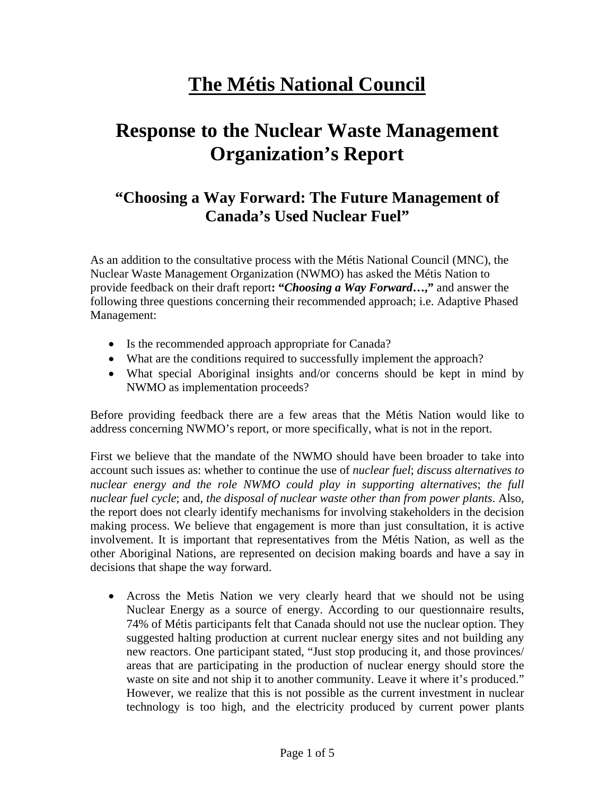# **The Métis National Council**

# **Response to the Nuclear Waste Management Organization's Report**

## **"Choosing a Way Forward: The Future Management of Canada's Used Nuclear Fuel"**

As an addition to the consultative process with the Métis National Council (MNC), the Nuclear Waste Management Organization (NWMO) has asked the Métis Nation to provide feedback on their draft report**: "***Choosing a Way Forward***…,"** and answer the following three questions concerning their recommended approach; i.e. Adaptive Phased Management:

- Is the recommended approach appropriate for Canada?
- What are the conditions required to successfully implement the approach?
- What special Aboriginal insights and/or concerns should be kept in mind by NWMO as implementation proceeds?

Before providing feedback there are a few areas that the Métis Nation would like to address concerning NWMO's report, or more specifically, what is not in the report.

First we believe that the mandate of the NWMO should have been broader to take into account such issues as: whether to continue the use of *nuclear fuel*; *discuss alternatives to nuclear energy and the role NWMO could play in supporting alternatives*; *the full nuclear fuel cycle*; and, *the disposal of nuclear waste other than from power plants*. Also, the report does not clearly identify mechanisms for involving stakeholders in the decision making process. We believe that engagement is more than just consultation, it is active involvement. It is important that representatives from the Métis Nation, as well as the other Aboriginal Nations, are represented on decision making boards and have a say in decisions that shape the way forward.

• Across the Metis Nation we very clearly heard that we should not be using Nuclear Energy as a source of energy. According to our questionnaire results, 74% of Métis participants felt that Canada should not use the nuclear option. They suggested halting production at current nuclear energy sites and not building any new reactors. One participant stated, "Just stop producing it, and those provinces/ areas that are participating in the production of nuclear energy should store the waste on site and not ship it to another community. Leave it where it's produced." However, we realize that this is not possible as the current investment in nuclear technology is too high, and the electricity produced by current power plants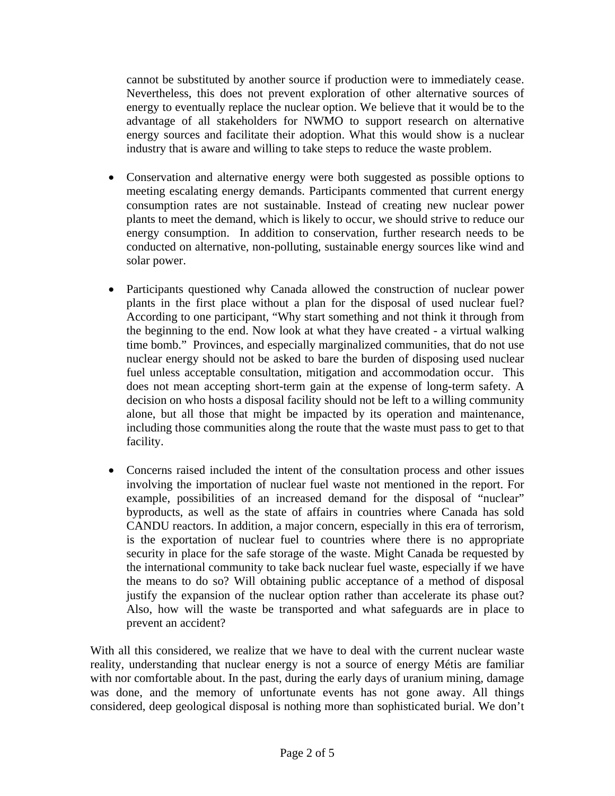cannot be substituted by another source if production were to immediately cease. Nevertheless, this does not prevent exploration of other alternative sources of energy to eventually replace the nuclear option. We believe that it would be to the advantage of all stakeholders for NWMO to support research on alternative energy sources and facilitate their adoption. What this would show is a nuclear industry that is aware and willing to take steps to reduce the waste problem.

- Conservation and alternative energy were both suggested as possible options to meeting escalating energy demands. Participants commented that current energy consumption rates are not sustainable. Instead of creating new nuclear power plants to meet the demand, which is likely to occur, we should strive to reduce our energy consumption. In addition to conservation, further research needs to be conducted on alternative, non-polluting, sustainable energy sources like wind and solar power.
- Participants questioned why Canada allowed the construction of nuclear power plants in the first place without a plan for the disposal of used nuclear fuel? According to one participant, "Why start something and not think it through from the beginning to the end. Now look at what they have created - a virtual walking time bomb." Provinces, and especially marginalized communities, that do not use nuclear energy should not be asked to bare the burden of disposing used nuclear fuel unless acceptable consultation, mitigation and accommodation occur. This does not mean accepting short-term gain at the expense of long-term safety. A decision on who hosts a disposal facility should not be left to a willing community alone, but all those that might be impacted by its operation and maintenance, including those communities along the route that the waste must pass to get to that facility.
- Concerns raised included the intent of the consultation process and other issues involving the importation of nuclear fuel waste not mentioned in the report. For example, possibilities of an increased demand for the disposal of "nuclear" byproducts, as well as the state of affairs in countries where Canada has sold CANDU reactors. In addition, a major concern, especially in this era of terrorism, is the exportation of nuclear fuel to countries where there is no appropriate security in place for the safe storage of the waste. Might Canada be requested by the international community to take back nuclear fuel waste, especially if we have the means to do so? Will obtaining public acceptance of a method of disposal justify the expansion of the nuclear option rather than accelerate its phase out? Also, how will the waste be transported and what safeguards are in place to prevent an accident?

With all this considered, we realize that we have to deal with the current nuclear waste reality, understanding that nuclear energy is not a source of energy Métis are familiar with nor comfortable about. In the past, during the early days of uranium mining, damage was done, and the memory of unfortunate events has not gone away. All things considered, deep geological disposal is nothing more than sophisticated burial. We don't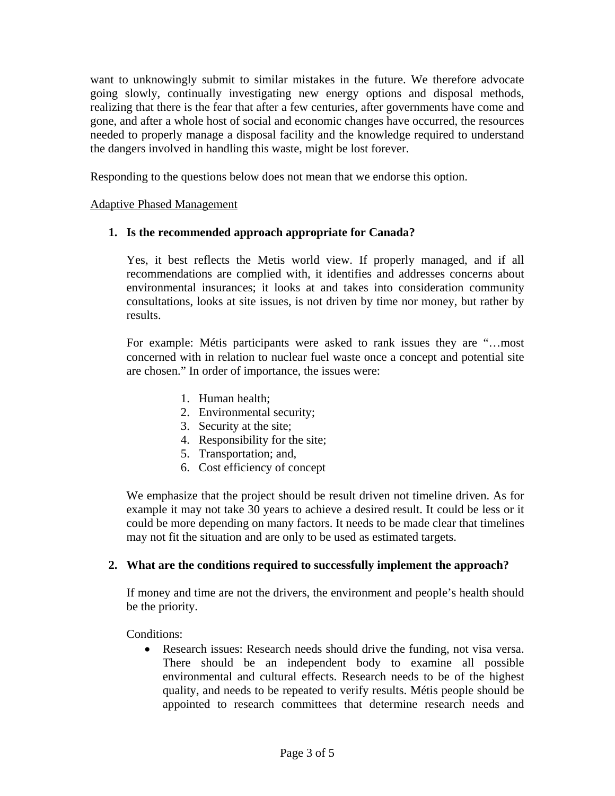want to unknowingly submit to similar mistakes in the future. We therefore advocate going slowly, continually investigating new energy options and disposal methods, realizing that there is the fear that after a few centuries, after governments have come and gone, and after a whole host of social and economic changes have occurred, the resources needed to properly manage a disposal facility and the knowledge required to understand the dangers involved in handling this waste, might be lost forever.

Responding to the questions below does not mean that we endorse this option.

### Adaptive Phased Management

### **1. Is the recommended approach appropriate for Canada?**

Yes, it best reflects the Metis world view. If properly managed, and if all recommendations are complied with, it identifies and addresses concerns about environmental insurances; it looks at and takes into consideration community consultations, looks at site issues, is not driven by time nor money, but rather by results.

For example: Métis participants were asked to rank issues they are "…most concerned with in relation to nuclear fuel waste once a concept and potential site are chosen." In order of importance, the issues were:

- 1. Human health;
- 2. Environmental security;
- 3. Security at the site;
- 4. Responsibility for the site;
- 5. Transportation; and,
- 6. Cost efficiency of concept

We emphasize that the project should be result driven not timeline driven. As for example it may not take 30 years to achieve a desired result. It could be less or it could be more depending on many factors. It needs to be made clear that timelines may not fit the situation and are only to be used as estimated targets.

#### **2. What are the conditions required to successfully implement the approach?**

If money and time are not the drivers, the environment and people's health should be the priority.

Conditions:

• Research issues: Research needs should drive the funding, not visa versa. There should be an independent body to examine all possible environmental and cultural effects. Research needs to be of the highest quality, and needs to be repeated to verify results. Métis people should be appointed to research committees that determine research needs and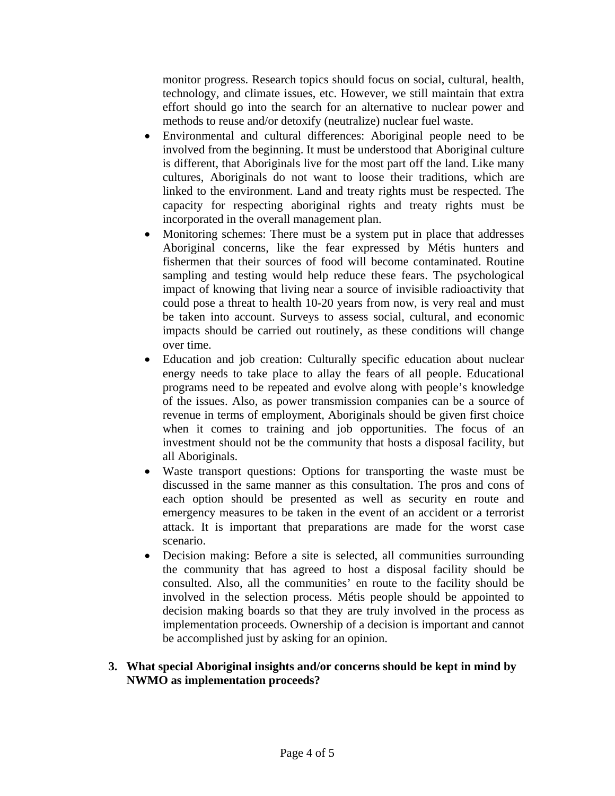monitor progress. Research topics should focus on social, cultural, health, technology, and climate issues, etc. However, we still maintain that extra effort should go into the search for an alternative to nuclear power and methods to reuse and/or detoxify (neutralize) nuclear fuel waste.

- Environmental and cultural differences: Aboriginal people need to be involved from the beginning. It must be understood that Aboriginal culture is different, that Aboriginals live for the most part off the land. Like many cultures, Aboriginals do not want to loose their traditions, which are linked to the environment. Land and treaty rights must be respected. The capacity for respecting aboriginal rights and treaty rights must be incorporated in the overall management plan.
- Monitoring schemes: There must be a system put in place that addresses Aboriginal concerns, like the fear expressed by Métis hunters and fishermen that their sources of food will become contaminated. Routine sampling and testing would help reduce these fears. The psychological impact of knowing that living near a source of invisible radioactivity that could pose a threat to health 10-20 years from now, is very real and must be taken into account. Surveys to assess social, cultural, and economic impacts should be carried out routinely, as these conditions will change over time.
- Education and job creation: Culturally specific education about nuclear energy needs to take place to allay the fears of all people. Educational programs need to be repeated and evolve along with people's knowledge of the issues. Also, as power transmission companies can be a source of revenue in terms of employment, Aboriginals should be given first choice when it comes to training and job opportunities. The focus of an investment should not be the community that hosts a disposal facility, but all Aboriginals.
- Waste transport questions: Options for transporting the waste must be discussed in the same manner as this consultation. The pros and cons of each option should be presented as well as security en route and emergency measures to be taken in the event of an accident or a terrorist attack. It is important that preparations are made for the worst case scenario.
- Decision making: Before a site is selected, all communities surrounding the community that has agreed to host a disposal facility should be consulted. Also, all the communities' en route to the facility should be involved in the selection process. Métis people should be appointed to decision making boards so that they are truly involved in the process as implementation proceeds. Ownership of a decision is important and cannot be accomplished just by asking for an opinion.

#### **3. What special Aboriginal insights and/or concerns should be kept in mind by NWMO as implementation proceeds?**